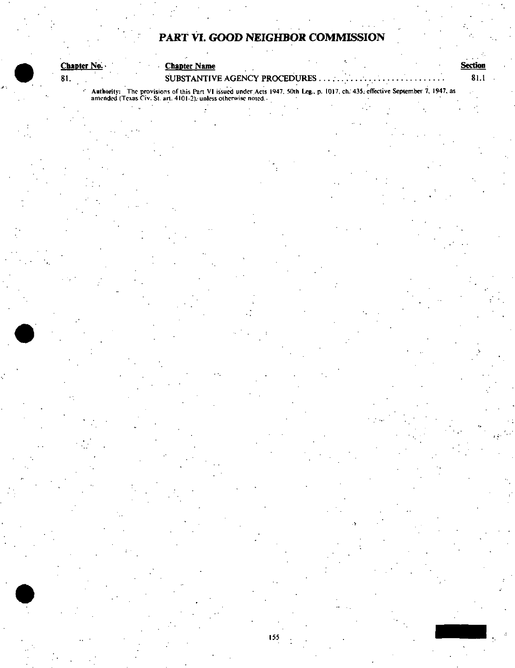# PART VI. GOOD NEIGHBOR COMMISSION



Chapter No. • Chapter Name Section Chapter Name Section Section

 $\sim$   $\sim$ 

81. . SUBSTANTIVE AGENCY PROCEDURES 81.1



Authority: The provisions of this Part VI issued under Acts 1947, 50th Leg., p. 1017, ch. 435. effective September 7, 1947, as amended (Texas Civ. St. art. 4101-2). unless otherwise noted.  $\cdot$ 

155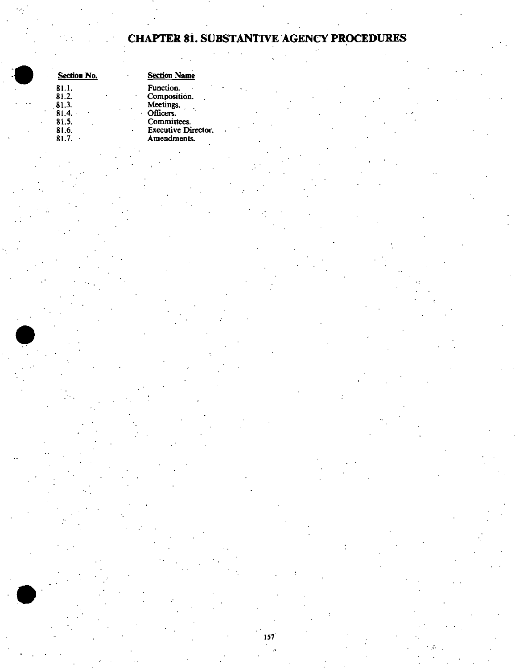# **CHAPTER 81. SUBSTANTIVE AGENCY PROCEDURES**

Section No. 81.1.<br>81.2.<br>81.3.<br>81.4.  $81.5$ .<br> $81.6$ .<br> $81.7$ .

**Section Name** Function.<br>
Composition.<br>
Meetings.<br>
Officers.<br>
Committees.<br>
Executive Director.<br>
Amendments.

157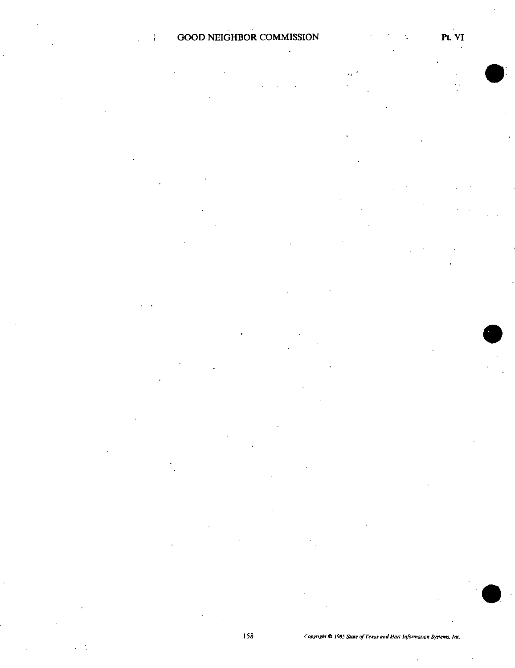# **GOOD NEIGHBOR COMMISSION**

 $\overline{a}$ 

ĵ.

 $\ddot{\phantom{a}}$ 

Pt. VI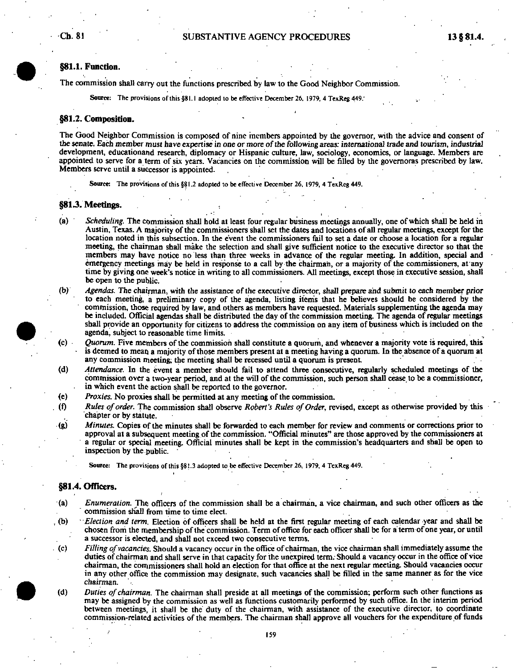## §81.1. Function.

The commission shall carry out the functions prescribed by law to the Good Neighbor Commission.

Source: The provisions of this §81.1 adopted to be effective December 26, 1979, 4 TexReg 449.

### §81.2. Composition.

The Good Neighbor Commission is composed of nine inembers appointed by the governor, with the advice and consent of the senate. Each member must have expertise in one or more of the following areas; international trade and tourism, industrial development, educationand research, diplomacy or Hispanic culture, law, sociology, economics, or language. Members are appointed to serve for a term of six years. Vacancies on the commission will be filled by the govemoras prescribed by law. Members serve until a successor is appointed.

Source: The provisions of this §81.2 adopted to be effective December 26, 1979, 4 TexReg 449.

### §81.3. Meetings.

- (a) Scheduling. The commission shall hold at least four regular business meetings annually, one of which shall be held in Austin, Texas. A majority of the commissioners shall set the dates and locations of all regular meetings, except for the location noted in this subsection. In the event the commissioners fail to set a date or choose a location for a regular meeting, the chairman shall make the selection and shall give sufficient notice to the executive director so that the members may have notice no less than three weeks in advance of the regular meeting. In addition, special and emergency meetings may be held in response to a call by the chairman, or a majority of the commissioners, at any time by giving one week\*s notice in writing to all commissioners. All meetings, except those in executive session, shall be open to the public.
- (b) Agendas. The chairman, with the assistance of the executive director, shall prepare and submit to each member prior to each meeting, a preliminary copy of the agenda, listing items that he believes should be considered by the commission, those required by law, and others as members have requested. Materials supplementing the agenda may be included. Official agendas shall be distributed the day of the commission meeting. The agenda of regular meetings shall provide an opportunity for citizens to address the commission on any item of business which is included on the agenda, subject to reasonable time limits.
- (c)  $Quorum$ . Five members of the commission shall constitute a quorum, and whenever a majority vote is required, this is deemed to mean a majority of those members present at a meeting having a quorum. In the absence of a quorum at any commission meeting; the meeting shall be recessed until a quorum is present
- (d) Attendance. In the event a member should fail to attend three consecutive, regularly scheduled meetings of the commission over a two-year period, and at the will of the commission, such person shall cease to be a commissioner, in which event the action shall be reported to the governor.
- (e) Proxies. No proxies shall be permitted at any meeting of the commission.
- (f) Rules of order. The commission shall observe Robert's Rules of Order, revised, except as otherwise provided by this chapter or by statute.
- $(g)$  Minutes. Copies of the minutes shall be forwarded to each member for review and comments or corrections prior to approval at a subsequent meeting of the commission. "Official minutes" are those approved by the commissioners at a regular or special meeting. Official minutes shall be kept in the commission's headquarters and shall be open to inspection by the public.

Source: The provisions of this §81.3 adopted to be effective December 26, 1979, 4 TexReg 449.

### §81.4. Officers.

- (a) Enumeration. The officers of the commission shall be a chairman, a vice chainnan, and such other officers as the commission shall from time to time elect.
- (b) Election and term. Election of officers shall be held at the first regular meeting of each calendar year and shall be chosen froni the membership of the commission. Term of office for each officer shall be for a term of one year, or until a successor is elected, and shall not exceed two consecutive terms.
- (c) Filling of vacancies. Should a vacancy occur in the office of chairman, the vice chairman shall immediately assume the duties of chairman and shall serve in that capacity for the unexpired term. Should a vacancy occur in the office of vice chairman, the commissioners shall hold an election for that office at the next regular meeting. Should vacancies occur in any other office the commission may designate, such vacancies shall be filled in the same manner as for the vice chairman.
- (d) Duties of chairman. The chairman shall preside at all meetings of the commission; perform such other functions as may be assigned by the commission as well as functions customarily performed by such office. In the interim period between meetings, it shall be the duty of the chairman, with assistance of the executive director, to coordinate commission-related activities of the members. The chairman shall approve all vouchers for the expenditure of funds